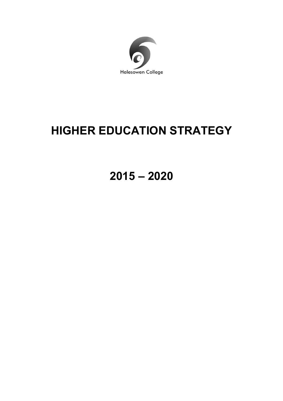

# **HIGHER EDUCATION STRATEGY**

**2015 – 2020**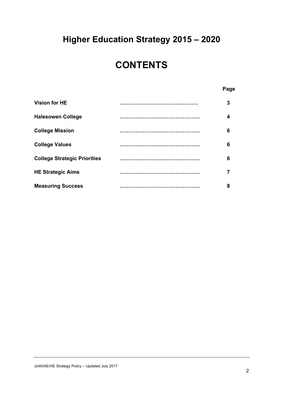## **Higher Education Strategy 2015 – 2020**

### **CONTENTS**

#### **Page**

| <b>Vision for HE</b>                | <br>3 |
|-------------------------------------|-------|
| <b>Halesowen College</b>            | 4     |
| <b>College Mission</b>              | 6     |
| <b>College Values</b>               | 6     |
| <b>College Strategic Priorities</b> | 6     |
| <b>HE Strategic Aims</b>            |       |
| <b>Measuring Success</b>            | <br>8 |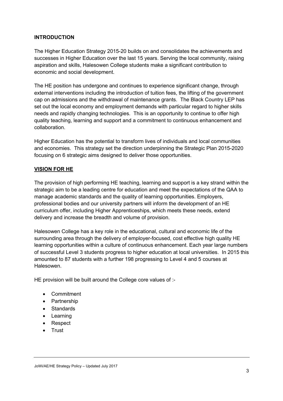#### **INTRODUCTION**

The Higher Education Strategy 2015-20 builds on and consolidates the achievements and successes in Higher Education over the last 15 years. Serving the local community, raising aspiration and skills, Halesowen College students make a significant contribution to economic and social development.

The HE position has undergone and continues to experience significant change, through external interventions including the introduction of tuition fees, the lifting of the government cap on admissions and the withdrawal of maintenance grants. The Black Country LEP has set out the local economy and employment demands with particular regard to higher skills needs and rapidly changing technologies. This is an opportunity to continue to offer high quality teaching, learning and support and a commitment to continuous enhancement and collaboration.

Higher Education has the potential to transform lives of individuals and local communities and economies. This strategy set the direction underpinning the Strategic Plan 2015-2020 focusing on 6 strategic aims designed to deliver those opportunities.

#### **VISION FOR HE**

The provision of high performing HE teaching, learning and support is a key strand within the strategic aim to be a leading centre for education and meet the expectations of the QAA to manage academic standards and the quality of learning opportunities. Employers, professional bodies and our university partners will inform the development of an HE curriculum offer, including Higher Apprenticeships, which meets these needs, extend delivery and increase the breadth and volume of provision.

Halesowen College has a key role in the educational, cultural and economic life of the surrounding area through the delivery of employer-focused, cost effective high quality HE learning opportunities within a culture of continuous enhancement. Each year large numbers of successful Level 3 students progress to higher education at local universities. In 2015 this amounted to 87 students with a further 198 progressing to Level 4 and 5 courses at Halesowen.

HE provision will be built around the College core values of :-

- Commitment
- Partnership
- Standards
- Learning
- Respect
- Trust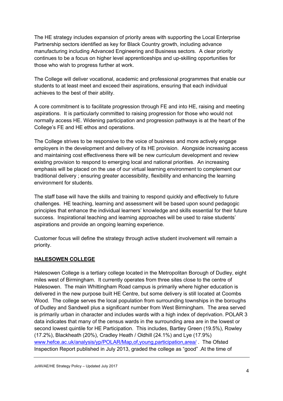The HE strategy includes expansion of priority areas with supporting the Local Enterprise Partnership sectors identified as key for Black Country growth, including advance manufacturing including Advanced Engineering and Business sectors. A clear priority continues to be a focus on higher level apprenticeships and up-skilling opportunities for those who wish to progress further at work.

The College will deliver vocational, academic and professional programmes that enable our students to at least meet and exceed their aspirations, ensuring that each individual achieves to the best of their ability.

A core commitment is to facilitate progression through FE and into HE, raising and meeting aspirations. It is particularly committed to raising progression for those who would not normally access HE. Widening participation and progression pathways is at the heart of the College's FE and HE ethos and operations.

The College strives to be responsive to the voice of business and more actively engage employers in the development and delivery of its HE provision. Alongside increasing access and maintaining cost effectiveness there will be new curriculum development and review existing provision to respond to emerging local and national priorities. An increasing emphasis will be placed on the use of our virtual learning environment to complement our traditional delivery ; ensuring greater accessibility, flexibility and enhancing the learning environment for students.

The staff base will have the skills and training to respond quickly and effectively to future challenges. HE teaching, learning and assessment will be based upon sound pedagogic principles that enhance the individual learners' knowledge and skills essential for their future success. Inspirational teaching and learning approaches will be used to raise students' aspirations and provide an ongoing learning experience.

Customer focus will define the strategy through active student involvement will remain a priority.

#### **HALESOWEN COLLEGE**

Halesowen College is a tertiary college located in the Metropolitan Borough of Dudley, eight miles west of Birmingham. It currently operates from three sites close to the centre of Halesowen. The main Whittingham Road campus is primarily where higher education is delivered in the new purpose built HE Centre, but some delivery is still located at Coombs Wood. The college serves the local population from surrounding townships in the boroughs of Dudley and Sandwell plus a significant number from West Birmingham. The area served is primarily urban in character and includes wards with a high index of deprivation. POLAR 3 data indicates that many of the census wards in the surrounding area are in the lowest or second lowest quintile for HE Participation. This includes, Bartley Green (19.5%), Rowley (17.2%), Blackheath (20%), Cradley Heath / Oldhill (24.1%) and Lye (17.9%) www.hefce.ac.uk/analysis/yp/POLAR/Map,of,young,participation,area/ . The Ofsted Inspection Report published in July 2013, graded the college as "good" .At the time of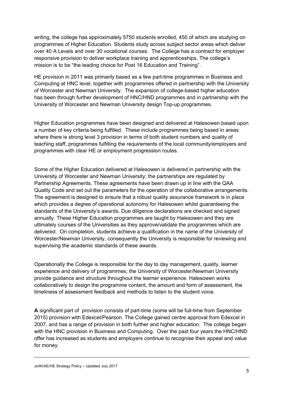writing, the college has approximately 5750 students enrolled, 450 of which are studying on programmes of Higher Education. Students study across subject sector areas which deliver over 40 A Levels and over 30 vocational courses. The College has a contract for employer responsive provision to deliver workplace training and apprenticeships. The college's mission is to be "the leading choice for Post 16 Education and Training".

HE provision in 2011 was primarily based as a few part-time programmes in Business and Computing at HNC level, together with programmes offered in partnership with the University of Worcester and Newman University. The expansion of college-based higher education has been through further development of HNC/HND programmes and in partnership with the University of Worcester and Newman University design Top-up programmes.

Higher Education programmes have been designed and delivered at Halesowen based upon a number of key criteria being fulfilled. These include programmes being based in areas where there is strong level 3 provision in terms of both student numbers and quality of teaching staff, programmes fulfilling the requirements of the local community/employers and programmes with clear HE or employment progression routes.

Some of the Higher Education delivered at Halesowen is delivered in partnership with the University of Worcester and Newman University; the partnerships are regulated by Partnership Agreements. These agreements have been drawn up in line with the QAA Quality Code and set out the parameters for the operation of the collaborative arrangements. The agreement is designed to ensure that a robust quality assurance framework is in place which provides a degree of operational autonomy for Halesowen whilst guaranteeing the standards of the University's awards. Due diligence declarations are checked and signed annually. These Higher Education programmes are taught by Halesowen and they are ultimately courses of the Universities as they approve/validate the programmes which are delivered. On completion, students achieve a qualification in the name of the University of Worcester/Newman University, consequently the University is responsible for reviewing and supervising the academic standards of these awards.

Operationally the College is responsible for the day to day management, quality, learner experience and delivery of programmes; the University of Worcester/Newman University provide guidance and structure throughout the learner experience. Halesowen works collaboratively to design the programme content, the amount and form of assessment, the timeliness of assessment feedback and methods to listen to the student voice.

**A** significant part of provision consists of part-time (some will be full-time from September 2015) provision with Edexcel/Pearson. The College gained centre approval from Edexcel in 2007, and has a range of provision in both further and higher education. The college began with the HNC provision in Business and Computing. Over the past four years the HNC/HND offer has increased as students and employers continue to recognise their appeal and value for money.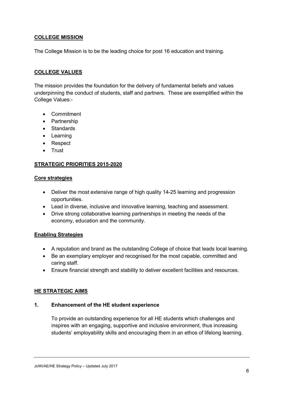#### **COLLEGE MISSION**

The College Mission is to be the leading choice for post 16 education and training.

#### **COLLEGE VALUES**

The mission provides the foundation for the delivery of fundamental beliefs and values underpinning the conduct of students, staff and partners. These are exemplified within the College Values:-

- Commitment
- Partnership
- Standards
- Learning
- Respect
- Trust

#### **STRATEGIC PRIORITIES 2015-2020**

#### **Core strategies**

- Deliver the most extensive range of high quality 14-25 learning and progression opportunities.
- Lead in diverse, inclusive and innovative learning, teaching and assessment.
- Drive strong collaborative learning partnerships in meeting the needs of the economy, education and the community.

#### **Enabling Strategies**

- A reputation and brand as the outstanding College of choice that leads local learning.
- Be an exemplary employer and recognised for the most capable, committed and caring staff.
- Ensure financial strength and stability to deliver excellent facilities and resources.

#### **HE STRATEGIC AIMS**

#### **1. Enhancement of the HE student experience**

To provide an outstanding experience for all HE students which challenges and inspires with an engaging, supportive and inclusive environment, thus increasing students' employability skills and encouraging them in an ethos of lifelong learning.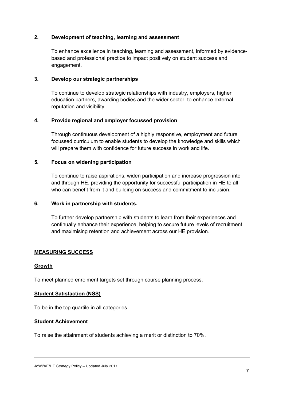#### **2. Development of teaching, learning and assessment**

To enhance excellence in teaching, learning and assessment, informed by evidencebased and professional practice to impact positively on student success and engagement.

#### **3. Develop our strategic partnerships**

To continue to develop strategic relationships with industry, employers, higher education partners, awarding bodies and the wider sector, to enhance external reputation and visibility.

#### **4. Provide regional and employer focussed provision**

Through continuous development of a highly responsive, employment and future focussed curriculum to enable students to develop the knowledge and skills which will prepare them with confidence for future success in work and life.

#### **5. Focus on widening participation**

To continue to raise aspirations, widen participation and increase progression into and through HE, providing the opportunity for successful participation in HE to all who can benefit from it and building on success and commitment to inclusion.

#### **6. Work in partnership with students.**

To further develop partnership with students to learn from their experiences and continually enhance their experience, helping to secure future levels of recruitment and maximising retention and achievement across our HE provision.

#### **MEASURING SUCCESS**

#### **Growth**

To meet planned enrolment targets set through course planning process.

#### **Student Satisfaction (NSS)**

To be in the top quartile in all categories.

#### **Student Achievement**

To raise the attainment of students achieving a merit or distinction to 70%.